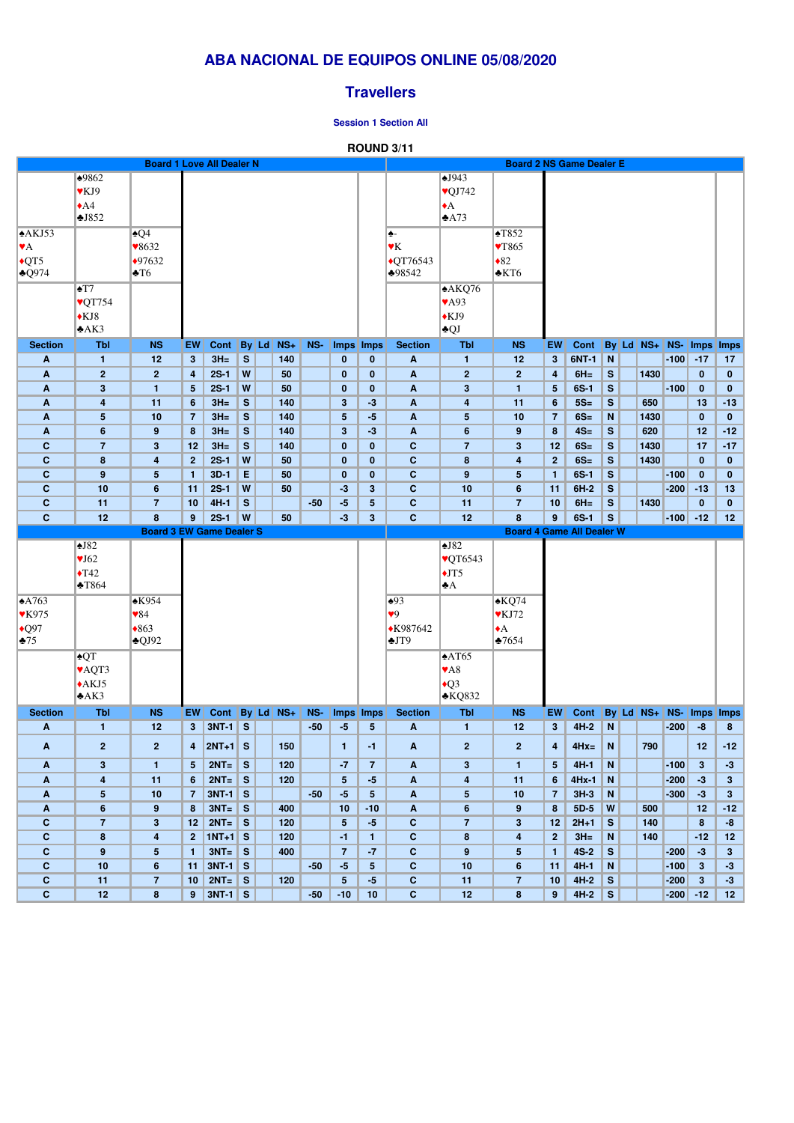|                                |                            | <b>Board 1 Love All Dealer N</b> |                         |                 |              |               |       |                         |                 |                              |                          | <b>Board 2 NS Game Dealer E</b>  |                 |             |               |                 |        |              |                |
|--------------------------------|----------------------------|----------------------------------|-------------------------|-----------------|--------------|---------------|-------|-------------------------|-----------------|------------------------------|--------------------------|----------------------------------|-----------------|-------------|---------------|-----------------|--------|--------------|----------------|
|                                | $*9862$                    |                                  |                         |                 |              |               |       |                         |                 |                              | $\sqrt{943}$             |                                  |                 |             |               |                 |        |              |                |
|                                | $\blacktriangledown$ KJ9   |                                  |                         |                 |              |               |       |                         |                 |                              | $\sqrt{\text{QJ}742}$    |                                  |                 |             |               |                 |        |              |                |
|                                | $\triangle$ A4             |                                  |                         |                 |              |               |       |                         |                 |                              | $\blacklozenge$ A        |                                  |                 |             |               |                 |        |              |                |
|                                | J852                       |                                  |                         |                 |              |               |       |                         |                 |                              | $\triangle$ A73          |                                  |                 |             |               |                 |        |              |                |
| A KJ53                         |                            | $\triangle Q4$                   |                         |                 |              |               |       |                         |                 | ♠-                           |                          | $\sqrt{1852}$                    |                 |             |               |                 |        |              |                |
| $\blacktriangledown$ A         |                            | $\blacktriangledown 8632$        |                         |                 |              |               |       |                         |                 | $\blacktriangledown K$       |                          | $\sqrt{T865}$                    |                 |             |               |                 |        |              |                |
| $\overline{QT5}$               |                            | $*97632$                         |                         |                 |              |               |       |                         |                 | $\overline{\text{•}QT76543}$ |                          | $\bullet 82$                     |                 |             |               |                 |        |              |                |
| $\triangle Q$ 974              |                            | $\blacktriangleright$ T6         |                         |                 |              |               |       |                         |                 | ♣98542                       |                          | $\triangle$ KT6                  |                 |             |               |                 |        |              |                |
|                                | $\blacktriangle$ T7        |                                  |                         |                 |              |               |       |                         |                 |                              | A KQ76                   |                                  |                 |             |               |                 |        |              |                |
|                                | $\sqrt{QT754}$             |                                  |                         |                 |              |               |       |                         |                 |                              | $\blacktriangledown$ A93 |                                  |                 |             |               |                 |        |              |                |
|                                |                            |                                  |                         |                 |              |               |       |                         |                 |                              |                          |                                  |                 |             |               |                 |        |              |                |
|                                | $\bigstar$ KJ8             |                                  |                         |                 |              |               |       |                         |                 |                              | $\bigstar$ KJ9           |                                  |                 |             |               |                 |        |              |                |
|                                | A K3                       |                                  |                         |                 |              |               |       |                         |                 |                              | $\triangle$ QJ           |                                  |                 |             |               |                 |        |              |                |
| <b>Section</b>                 | <b>Tbl</b>                 | <b>NS</b>                        | EW                      | <b>Cont</b>     |              | By Ld NS+     | NS-   |                         | Imps Imps       | <b>Section</b>               | <b>Tbl</b>               | <b>NS</b>                        | EW              | <b>Cont</b> |               | By Ld NS+ NS-   |        |              | Imps Imps      |
| A                              | $\mathbf{1}$               | 12                               | 3 <sup>2</sup>          | $3H=$           | S            | 140           |       | $\bf{0}$                | $\mathbf{0}$    | A                            | $\mathbf{1}$             | 12                               | 3 <sup>5</sup>  | 6NT-1       | N             |                 | $-100$ | $-17$        | 17             |
| A                              | $\overline{2}$             | $\mathbf{2}$                     | $\overline{\mathbf{4}}$ | $2S-1$          | W            | 50            |       | $\bf{0}$                | $\mathbf{0}$    | A                            | $\mathbf{2}$             | $\overline{2}$                   | 4               | $6H =$      | S             | 1430            |        | $\mathbf{0}$ | $\mathbf{0}$   |
| A                              | $\mathbf{3}$               | $\mathbf{1}$                     | 5 <sub>5</sub>          | $2S-1$          | W            | 50            |       | $\bf{0}$                | $\bf{0}$        | A                            | $\mathbf{3}$             | $\mathbf{1}$                     | $5\phantom{.0}$ | $6S-1$      | $\mathbf{s}$  |                 | $-100$ | $\mathbf 0$  | $\bf{0}$       |
| A                              | $\overline{\mathbf{4}}$    | 11                               | $6\phantom{1}$          | $3H=$           | S            | 140           |       | $\overline{\mathbf{3}}$ | $-3$            | A                            | 4                        | 11                               | 6               | $5S=$       | $\mathbf{s}$  | 650             |        | 13           | $-13$          |
| A                              | 5                          | 10                               | $\overline{7}$          | $3H =$          | S            | 140           |       | $5\phantom{.0}$         | $-5$            | A                            | $\overline{\mathbf{5}}$  | 10                               | $\overline{7}$  | $6S=$       | N             | 1430            |        | $\bf{0}$     | $\bf{0}$       |
| A                              | $6\phantom{1}$             | 9                                | 8                       | $3H =$          | S            | 140           |       | 3 <sup>5</sup>          | $-3$            | A                            | $6\phantom{a}$           | 9                                | 8               | $4S=$       | S             | 620             |        | 12           | $-12$          |
| $\mathbf c$                    | $\overline{7}$             | $\mathbf{3}$                     | 12                      | $3H =$          | S            | 140           |       | $\bf{0}$                | $\bf{0}$        | $\mathbf C$                  | $\overline{7}$           | 3                                | 12              | $6S=$       | $\mathbf{s}$  | 1430            |        | 17           | $-17$          |
| $\mathbf c$                    | 8                          | 4                                | 2 <sup>2</sup>          | $2S-1$          | W            | 50            |       | $\bf{0}$                | $\bf{0}$        | $\mathbf C$                  | $\boldsymbol{8}$         | 4                                | $\mathbf{2}$    | $6S=$       | $\mathbf{s}$  | 1430            |        | $\bf{0}$     | $\bf{0}$       |
| $\mathbf C$                    | 9                          | 5                                | $\mathbf{1}$            | $3D-1$          | E            | 50            |       | $\mathbf{0}$            | $\bf{0}$        | $\mathbf C$                  | $\boldsymbol{9}$         | 5                                | $\mathbf{1}$    | $6S-1$      | $\mathbf{s}$  |                 | $-100$ | $\bf{0}$     | $\mathbf{0}$   |
| $\mathbf c$                    | 10                         | $6\phantom{1}$                   | 11                      | $2S-1$          | W            | 50            |       | $-3$                    | $3\phantom{a}$  | $\mathbf{C}$                 | 10                       | $6\phantom{1}$                   | 11              | $6H-2$      | ${\mathbf S}$ |                 | $-200$ | $-13$        | 13             |
| $\mathbf C$                    | 11                         | $\overline{7}$                   | 10                      | $4H-1$          | $\mathbf{s}$ |               | $-50$ | $-5$                    | $5\phantom{.0}$ | $\mathbf C$                  | 11                       | $\overline{7}$                   | 10              | $6H =$      | $\mathbf s$   | 1430            |        | $\pmb{0}$    | $\mathbf{0}$   |
| $\mathbf{C}$                   | 12                         | 8                                | 9 <sup>°</sup>          | $2S-1$          | W            | 50            |       | $-3$                    | $3\phantom{a}$  | $\mathbf{C}$                 | 12                       | 8                                | 9               | $6S-1$      | $\mathbf{s}$  |                 | $-100$ | $-12$        | 12             |
|                                |                            | <b>Board 3 EW Game Dealer S</b>  |                         |                 |              |               |       |                         |                 |                              |                          | <b>Board 4 Game All Dealer W</b> |                 |             |               |                 |        |              |                |
|                                | $\triangle$ J82            |                                  |                         |                 |              |               |       |                         |                 |                              | $\triangle$ J82          |                                  |                 |             |               |                 |        |              |                |
|                                | $\sqrt{J}62$               |                                  |                         |                 |              |               |       |                         |                 |                              | <b>VQT6543</b>           |                                  |                 |             |               |                 |        |              |                |
|                                | $\blacklozenge$ T42        |                                  |                         |                 |              |               |       |                         |                 |                              | $\overline{\text{J}T5}$  |                                  |                 |             |               |                 |        |              |                |
|                                | $\blacktriangleright$ T864 |                                  |                         |                 |              |               |       |                         |                 |                              | $\bigstar$ A             |                                  |                 |             |               |                 |        |              |                |
|                                |                            |                                  |                         |                 |              |               |       |                         |                 |                              |                          |                                  |                 |             |               |                 |        |              |                |
| $\triangle$ A763               |                            | $\triangle$ K954                 |                         |                 |              |               |       |                         |                 | $\triangle 93$               |                          | $\triangle KQ74$                 |                 |             |               |                 |        |              |                |
| <b>VK975</b>                   |                            | $\blacktriangledown 84$          |                         |                 |              |               |       |                         |                 | $\blacktriangledown$         |                          | $\blacktriangledown$ KJ72        |                 |             |               |                 |        |              |                |
| $\big\vert \bullet \text{Q}97$ |                            | $*863$                           |                         |                 |              |               |       |                         |                 | ◆K987642                     |                          | $\blacktriangleright$ A          |                 |             |               |                 |        |              |                |
| $\clubsuit$ 75                 |                            | $\triangle$ QJ92                 |                         |                 |              |               |       |                         |                 | $+JT9$                       |                          | $\frac{1}{2}7654$                |                 |             |               |                 |        |              |                |
|                                | $\triangle$ QT             |                                  |                         |                 |              |               |       |                         |                 |                              | $\triangle AT65$         |                                  |                 |             |               |                 |        |              |                |
|                                | <b>VAQT3</b>               |                                  |                         |                 |              |               |       |                         |                 |                              | $\blacktriangledown$ A8  |                                  |                 |             |               |                 |        |              |                |
|                                | $\triangle$ AKJ5           |                                  |                         |                 |              |               |       |                         |                 |                              | $\overline{Q}$ 3         |                                  |                 |             |               |                 |        |              |                |
|                                | A K3                       |                                  |                         |                 |              |               |       |                         |                 |                              | $\triangle$ KQ832        |                                  |                 |             |               |                 |        |              |                |
| <b>Section</b>                 | <b>Tbl</b>                 | <b>NS</b>                        | EW                      | Cont            |              | $By$ Ld $Ns+$ | NS-   |                         | Imps Imps       | <b>Section</b>               | <b>Tbl</b>               | <b>NS</b>                        | EW              | Cont        |               | By $Ld$ NS+ NS- |        |              | Imps Imps      |
| A                              | $\blacksquare$             | 12                               | 3 <sup>1</sup>          | <b>3NT-1</b> S  |              |               | $-50$ | $-5$                    | 5 <sub>5</sub>  | $\mathbf{A}$                 | $\mathbf{1}$             | 12                               | 3 <sup>2</sup>  | $4H-2$      | ${\bf N}$     |                 | $-200$ | $-8$         | 8              |
| $\boldsymbol{\mathsf{A}}$      | $\overline{2}$             | $\mathbf{2}$                     |                         | $4$   2NT+1 S   |              | 150           |       | $\mathbf{1}$            | $-1$            | $\mathbf{A}$                 | $\overline{2}$           | $\overline{2}$                   | 4               | $4Hx=$      | N             | 790             |        | 12           | $-12$          |
| A                              | $3\phantom{a}$             | $\mathbf{1}$                     | 5                       | $2NT =$         | S            | 120           |       | $-7$                    | $\overline{7}$  | A                            | $\mathbf{3}$             | $\mathbf{1}$                     | $5\phantom{.0}$ | $4H-1$      | $\mathbf N$   |                 | $-100$ | $\mathbf{3}$ | $-3$           |
| A                              | $\overline{\mathbf{4}}$    | 11                               | 6 <sup>1</sup>          | $2NT = S$       |              | 120           |       | 5 <sup>5</sup>          | $-5$            | A                            | 4                        | 11                               | 6               | $4Hx-1$     | N             |                 | $-200$ | $-3$         | 3 <sup>5</sup> |
| A                              | $5\phantom{.0}$            | 10                               | $\overline{7}$          | $3NT-1$ S       |              |               | $-50$ | $-5$                    | 5 <sub>5</sub>  | A                            | $5\phantom{.0}$          | 10                               | $\overline{7}$  | $3H-3$      | N             |                 | $-300$ | $-3$         | $\mathbf{3}$   |
| A                              | $6\phantom{1}$             | 9                                | 8                       | $3NT =$ S       |              | 400           |       | 10                      | $-10$           | A                            | $6\phantom{a}$           | 9                                | 8               | $5D-5$      | W             | 500             |        | 12           | $-12$          |
| $\mathbf c$                    | $\overline{7}$             | $\mathbf{3}$                     | 12                      | $2NT =$ S       |              | 120           |       | 5 <sup>5</sup>          | $-5$            | $\mathbf{C}$                 | $\overline{7}$           | $3\phantom{a}$                   | 12              | $2H+1$      | S             | 140             |        | 8            | -8             |
| $\mathbf c$                    | $\boldsymbol{8}$           | $\overline{\mathbf{4}}$          |                         | $2$   1NT+1   S |              | 120           |       | $-1$                    | $\mathbf{1}$    | $\mathbf{C}$                 | $\pmb{8}$                | $\overline{\mathbf{4}}$          | $\mathbf{2}$    | $3H =$      | $\mathbf N$   | 140             |        | $-12$        | 12             |

|     |    | $3NT = 1$ | S | 400 |       |       | - 1 |    |    | $4S-2$ | ಎ        | $-200$ | -3    |      |
|-----|----|-----------|---|-----|-------|-------|-----|----|----|--------|----------|--------|-------|------|
|     | 11 | $3NT-1$ S |   |     | $-50$ | - 7   |     | 10 | 11 | $4H-1$ |          | $-100$ |       | $-3$ |
|     | 10 | $2NT =$   | S | 120 |       |       | - 3 |    | 10 | $4H-2$ |          | $-200$ |       | $-3$ |
| . . | 9  | $3NT-1$ S |   |     | $-50$ | $-10$ | 10  | ╹  | 9  | $4H-2$ | <b>S</b> | $-200$ | $-12$ | 12   |

# **ABA NACIONAL DE EQUIPOS ONLINE 05/08/2020**

## **Travellers**

#### **Session 1 Section All**

### **ROUND 3/11**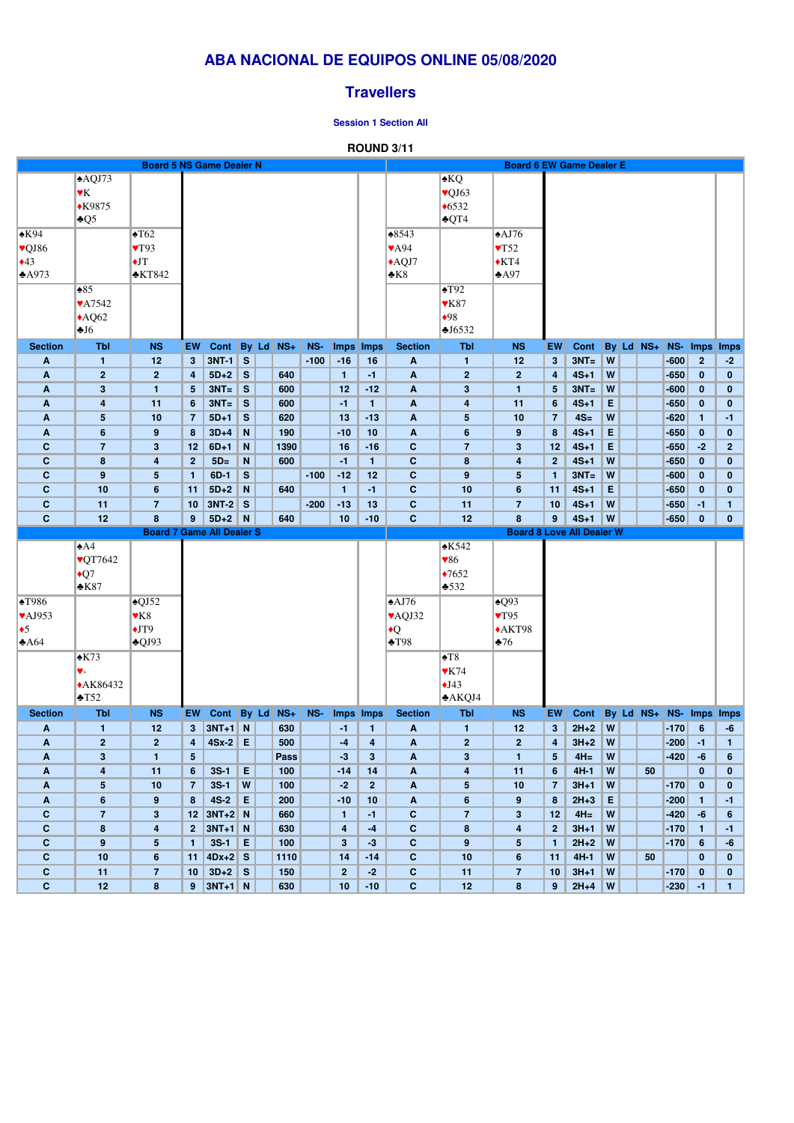# **ABA NACIONAL DE EQUIPOS ONLINE 05/08/2020**

## **Travellers**

#### **Session 1 Section All**

### **ROUND 3/11**

|                            |                           | <b>Board 5 NS Game Dealer N</b>         |                         |                                         |              |             |        |                                         |                         |                            |                          | <b>Board 6 EW Game Dealer E</b>         |                    |                 |        |           |                  |                 |                        |
|----------------------------|---------------------------|-----------------------------------------|-------------------------|-----------------------------------------|--------------|-------------|--------|-----------------------------------------|-------------------------|----------------------------|--------------------------|-----------------------------------------|--------------------|-----------------|--------|-----------|------------------|-----------------|------------------------|
|                            | AQJ73                     |                                         |                         |                                         |              |             |        |                                         |                         |                            | $\triangle$ KQ           |                                         |                    |                 |        |           |                  |                 |                        |
|                            | $\blacktriangledown$      |                                         |                         |                                         |              |             |        |                                         |                         |                            |                          |                                         |                    |                 |        |           |                  |                 |                        |
|                            |                           |                                         |                         |                                         |              |             |        |                                         |                         |                            | $\sqrt{Q}J63$            |                                         |                    |                 |        |           |                  |                 |                        |
|                            | $*K9875$                  |                                         |                         |                                         |              |             |        |                                         |                         |                            | $*6532$                  |                                         |                    |                 |        |           |                  |                 |                        |
|                            | $\triangle Q5$            |                                         |                         |                                         |              |             |        |                                         |                         |                            | $\triangle$ QT4          |                                         |                    |                 |        |           |                  |                 |                        |
| $\triangle$ K94            |                           | $\blacktriangle$ T62                    |                         |                                         |              |             |        |                                         |                         | $*8543$                    |                          | $\triangle$ AJ76                        |                    |                 |        |           |                  |                 |                        |
| $\vee$ QJ86                |                           | $\blacktriangledown$ T93                |                         |                                         |              |             |        |                                         |                         | $\blacktriangledown$ A94   |                          | $\sqrt{T52}$                            |                    |                 |        |           |                  |                 |                        |
| $\triangle 43$             |                           | $\blacklozenge$ JT                      |                         |                                         |              |             |        |                                         |                         | $\triangle$ AQJ7           |                          | $\blacklozenge$ KT4                     |                    |                 |        |           |                  |                 |                        |
| A973                       |                           | $\triangle$ KT842                       |                         |                                         |              |             |        |                                         |                         | $\triangle$ K8             |                          | A97                                     |                    |                 |        |           |                  |                 |                        |
|                            | $\triangle 85$            |                                         |                         |                                         |              |             |        |                                         |                         |                            | $\blacktriangle$ T92     |                                         |                    |                 |        |           |                  |                 |                        |
|                            | <b>VA7542</b>             |                                         |                         |                                         |              |             |        |                                         |                         |                            | $\blacktriangledown$ K87 |                                         |                    |                 |        |           |                  |                 |                        |
|                            | $\triangle$ AQ62          |                                         |                         |                                         |              |             |        |                                         |                         |                            | •98                      |                                         |                    |                 |        |           |                  |                 |                        |
|                            | J6                        |                                         |                         |                                         |              |             |        |                                         |                         |                            | J6532                    |                                         |                    |                 |        |           |                  |                 |                        |
| <b>Section</b>             | <b>Tbl</b>                | <b>NS</b>                               | EW                      | $Cont \vert$                            |              | By Ld NS+   | NS-    |                                         | Imps Imps               | <b>Section</b>             | <b>Tbl</b>               | <b>NS</b>                               | EW                 | Cont            |        | By Ld NS+ | NS-              |                 | Imps Imps              |
| $\boldsymbol{A}$           | $\mathbf{1}$              | 12                                      | 3 <sup>5</sup>          | $3NT-1$ S                               |              |             | $-100$ | $-16$                                   | 16                      | $\boldsymbol{A}$           | $\mathbf{1}$             | 12                                      | $3\phantom{a}$     | $3NT =$         | W      |           | $-600$           | $\overline{2}$  | $-2$                   |
| A                          | $\overline{2}$            | $\mathbf{2}$                            | 4                       | $5D+2$                                  | $\mathbf{s}$ | 640         |        | $\mathbf{1}$                            | $-1$                    | A                          | 2 <sup>2</sup>           | 2 <sub>2</sub>                          | 4                  | $4S+1$          | W      |           | $-650$           | $\bf{0}$        | $\bf{0}$               |
| $\boldsymbol{A}$           | 3                         | 1                                       | $5\phantom{.0}$         | $3NT =$                                 | S            | 600         |        | 12                                      | $-12$                   | A                          | $\mathbf{3}$             | $\blacktriangleleft$                    | $5\phantom{.0}$    | $3NT =$         | W      |           | $-600$           | $\bf{0}$        | $\bf{0}$               |
| $\boldsymbol{A}$           | 4                         | 11                                      | $6\phantom{1}$          | $3NT =$                                 | S            | 600         |        | $-1$                                    | $\mathbf{1}$            | A                          |                          | 11                                      | 6                  | $4S+1$          | E      |           | $-650$           | $\bf{0}$        | $\bf{0}$               |
|                            |                           |                                         |                         |                                         |              |             |        |                                         |                         |                            | 4                        |                                         |                    |                 | W      |           |                  |                 |                        |
| A                          | 5                         | 10                                      | $\overline{7}$          | $5D+1$                                  | S            | 620         |        | 13                                      | $-13$                   | A                          | $5\phantom{.0}$          | 10                                      | $\overline{7}$     | $4S=$           |        |           | $-620$           | $\mathbf{1}$    | $-1$                   |
| A                          | 6                         | 9                                       | 8                       | $3D+4$                                  | N            | 190         |        | $-10$                                   | 10                      | A                          | $6\phantom{1}$           | 9                                       | 8                  | $4S+1$          | E      |           | $-650$           | $\bf{0}$        | $\bf{0}$               |
| $\mathbf c$                | $\overline{7}$            | $\mathbf{3}$                            | 12                      | $6D+1$                                  | N            | 1390        |        | 16                                      | $-16$                   | $\mathbf{C}$               | $\overline{7}$           | $\mathbf{3}$                            | 12                 | $4S+1$          | E      |           | $-650$           | $-2$            | $\overline{2}$         |
| $\mathbf C$                | 8                         | $\overline{\mathbf{4}}$                 | 2 <sup>2</sup>          | $5D=$                                   | N            | 600         |        | $-1$                                    | $\mathbf{1}$            | $\mathbf{C}$               | 8                        | $\overline{4}$                          | $\mathbf{2}$       | $4S+1$          | W      |           | $-650$           | $\bf{0}$        | $\bf{0}$               |
| $\mathbf c$                | 9                         | $5\phantom{.0}$                         | $\mathbf{1}$            | $6D-1$                                  | S            |             | $-100$ | $-12$                                   | 12                      | $\mathbf{C}$               | 9                        | 5                                       | $\mathbf{1}$       | $3NT =$         | W      |           | $-600$           | $\bf{0}$        | $\bf{0}$               |
| $\mathbf C$                | 10                        | 6                                       | 11                      | $5D+2$                                  | N            | 640         |        | $\mathbf{1}$                            | $-1$                    | $\mathbf{C}$               | 10                       | $6\phantom{1}6$                         | 11                 | $4S+1$          | E      |           | $-650$           | $\bf{0}$        | $\bf{0}$               |
| $\mathbf{C}$               | 11                        | $\overline{7}$                          | 10                      | $3NT-2$                                 | $\mathbf{s}$ |             | $-200$ | $-13$                                   | 13                      | $\mathbf{C}$               | 11                       | 7                                       | 10                 | $4S+1$          | W      |           | $-650$           | $-1$            | $\mathbf{1}$           |
| $\mathbf{C}$               | 12                        | 8                                       | 9 <sup>°</sup>          | $5D+2$                                  | N            | 640         |        | 10                                      | $-10$                   | $\mathbf{C}$               | 12                       | 8                                       | 9                  | $4S+1$          | W      |           | $-650$           | $\bf{0}$        | $\mathbf{0}$           |
|                            |                           | <b>Board 7 Game All Dealer S</b>        |                         |                                         |              |             |        |                                         |                         |                            |                          | <b>Board 8 Love All Dealer W</b>        |                    |                 |        |           |                  |                 |                        |
|                            | $\triangle$ A4            |                                         |                         |                                         |              |             |        |                                         |                         |                            | $\triangle$ K542         |                                         |                    |                 |        |           |                  |                 |                        |
|                            | <b>VQT7642</b>            |                                         |                         |                                         |              |             |        |                                         |                         |                            | ♥86                      |                                         |                    |                 |        |           |                  |                 |                        |
|                            | $\bigcirc$                |                                         |                         |                                         |              |             |        |                                         |                         |                            | $*7652$                  |                                         |                    |                 |        |           |                  |                 |                        |
|                            | $*K87$                    |                                         |                         |                                         |              |             |        |                                         |                         |                            | $\frac{1}{2}$ 532        |                                         |                    |                 |        |           |                  |                 |                        |
| $\blacktriangle$ T986      |                           | $\sqrt{QJ52}$                           |                         |                                         |              |             |        |                                         |                         | $\triangle$ AJ76           |                          | $\triangle Q93$                         |                    |                 |        |           |                  |                 |                        |
| $\blacktriangledown$ AJ953 |                           | $\mathbf{Y}K8$                          |                         |                                         |              |             |        |                                         |                         | $\blacktriangledown$ AQJ32 |                          | $\blacktriangledown$ T95                |                    |                 |        |           |                  |                 |                        |
| $\bullet$ 5                |                           | $\bigstar$ JT9                          |                         |                                         |              |             |        |                                         |                         | $\bullet$ Q                |                          | $\triangle$ AKT98                       |                    |                 |        |           |                  |                 |                        |
| A64                        |                           | $\triangle$ QJ93                        |                         |                                         |              |             |        |                                         |                         | $\blacktriangle$ T98       |                          | $\blacktriangleright$ 76                |                    |                 |        |           |                  |                 |                        |
|                            | $\triangle$ K73           |                                         |                         |                                         |              |             |        |                                         |                         |                            | $\blacktriangle$ T8      |                                         |                    |                 |        |           |                  |                 |                        |
|                            | ♥-                        |                                         |                         |                                         |              |             |        |                                         |                         |                            | $\blacktriangledown$ K74 |                                         |                    |                 |        |           |                  |                 |                        |
|                            | $*AK86432$                |                                         |                         |                                         |              |             |        |                                         |                         |                            | $\bigcup$ J43            |                                         |                    |                 |        |           |                  |                 |                        |
|                            | $\blacktriangleright$ T52 |                                         |                         |                                         |              |             |        |                                         |                         |                            | $*AKQJ4$                 |                                         |                    |                 |        |           |                  |                 |                        |
| <b>Section</b>             | <b>Tbl</b>                | <b>NS</b>                               | EW                      | Cont By Ld                              |              | $NS+$       | NS-    |                                         | Imps Imps               | <b>Section</b>             | Tbl                      | <b>NS</b>                               | EW                 | <b>Cont</b>     |        |           | $By$ Ld NS+ NS-  |                 | Imps Imps              |
| $\mathbf{A}$               | $\mathbf{1}$              | 12                                      | 3 <sup>1</sup>          | $3NT+1$ N                               |              | 630         |        | $-1$                                    | $\mathbf{1}$            | A                          | $\mathbf{1}$             | 12                                      | $3\phantom{a}$     | $2H+2$          | W      |           | $-170$           | $6\phantom{1}6$ | $-6$                   |
| A                          | $\overline{2}$            | $\overline{2}$                          | $\overline{\mathbf{4}}$ | $4Sx-2$ E                               |              | 500         |        | $-4$                                    | $\overline{\mathbf{4}}$ | A                          | $\overline{2}$           | 2 <sub>2</sub>                          | 4                  | $3H+2$          | W      |           | $-200$           | $-1$            | $\mathbf{1}$           |
| $\boldsymbol{A}$           | $\overline{\mathbf{3}}$   | $\mathbf{1}$                            | 5 <sup>5</sup>          |                                         |              | <b>Pass</b> |        | $-3$                                    | $3\phantom{a}$          | $\boldsymbol{\mathsf{A}}$  | $\mathbf{3}$             | $\mathbf{1}$                            | $5\phantom{.0}$    | $4H=$           | W      |           | $-420$           | $-6$            | $6\phantom{1}$         |
| $\mathbf{A}$               | 4                         | 11                                      | $6\phantom{1}$          | $3S-1$                                  | E            | 100         |        | $-14$                                   | 14                      | A                          | $\overline{\mathbf{4}}$  | 11                                      | 6                  | $4H-1$          | W      | 50        |                  | $\bf{0}$        | $\bf{0}$               |
| $\boldsymbol{A}$           | 5                         | 10                                      | $\overline{7}$          | $3S-1$                                  | W            | 100         |        | $-2$                                    | 2 <sup>1</sup>          | A                          | $5\phantom{.0}$          | 10                                      | $\overline{7}$     | $3H+1$          | W      |           | $-170$           | $\bf{0}$        | $\bf{0}$               |
| A                          | $6\phantom{1}$            | 9                                       | 8                       | $4S-2$                                  | E            | 200         |        | $-10$                                   | 10                      | $\mathbf{A}$               | $6\phantom{1}$           | 9                                       | 8                  | $2H+3$          | E      |           | $-200$           | 1               | $-1$                   |
| $\mathbf{C}$               |                           |                                         |                         |                                         |              |             |        |                                         |                         |                            |                          |                                         |                    |                 |        |           |                  |                 |                        |
|                            |                           |                                         |                         |                                         |              |             |        |                                         |                         |                            |                          |                                         |                    |                 |        |           |                  |                 |                        |
| $\mathbf{C}$               | $\overline{7}$<br>8       | $\mathbf{3}$<br>$\overline{\mathbf{4}}$ | 12 <sub>2</sub>         | $3NT+2 N$<br>$2 \left  3NT+1 \right  N$ |              | 660<br>630  |        | $\mathbf{1}$<br>$\overline{\mathbf{4}}$ | $-1$<br>$-4$            | $\mathbf C$<br>$\mathbf c$ | $\overline{7}$<br>8      | $\mathbf{3}$<br>$\overline{\mathbf{4}}$ | 12<br>$\mathbf{2}$ | $4H=$<br>$3H+1$ | W<br>W |           | $-420$<br>$-170$ | $-6$<br>1       | $6\phantom{1}$<br>$-1$ |

|     | 11              | $ 4Dx+2 S $ |              | 1110 | 14 | $-14$ | 10 | 11 | $4H-1$ | W | 50 |        |              |              |
|-----|-----------------|-------------|--------------|------|----|-------|----|----|--------|---|----|--------|--------------|--------------|
|     | 10 <sup>1</sup> | $3D+2$      | $\mathbf{s}$ | 150  |    | $-2$  | ш  | 10 | $3H+1$ | W |    | $-170$ | $\mathbf{u}$ | $\mathbf{0}$ |
| . . | $\alpha$        | $3NT+1$     | N            | 630  | 10 | $-10$ | ▪  | 9  | $2H+4$ | W |    | $-230$ |              |              |